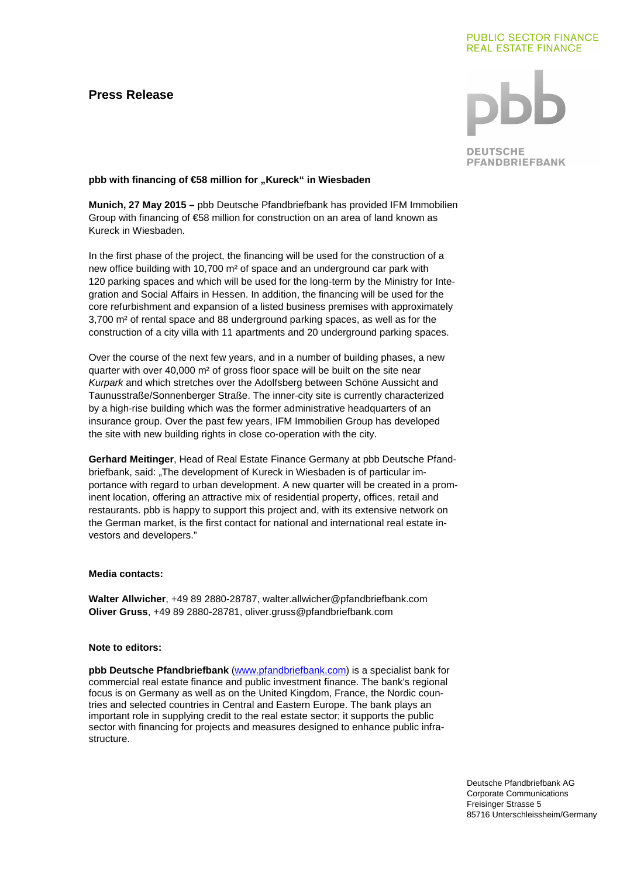# **Press Release**

## **PUBLIC SECTOR FINANCE REAL ESTATE FINANCE**



**DEUTSCHE PFANDBRIEFBANK** 

### pbb with financing of €58 million for "Kureck" in Wiesbaden

**Munich, 27 May 2015 –** pbb Deutsche Pfandbriefbank has provided IFM Immobilien Group with financing of €58 million for construction on an area of land known as Kureck in Wiesbaden.

In the first phase of the project, the financing will be used for the construction of a new office building with 10,700 m² of space and an underground car park with 120 parking spaces and which will be used for the long-term by the Ministry for Integration and Social Affairs in Hessen. In addition, the financing will be used for the core refurbishment and expansion of a listed business premises with approximately 3,700 m² of rental space and 88 underground parking spaces, as well as for the construction of a city villa with 11 apartments and 20 underground parking spaces.

Over the course of the next few years, and in a number of building phases, a new quarter with over 40,000 m<sup>2</sup> of gross floor space will be built on the site near Kurpark and which stretches over the Adolfsberg between Schöne Aussicht and Taunusstraße/Sonnenberger Straße. The inner-city site is currently characterized by a high-rise building which was the former administrative headquarters of an insurance group. Over the past few years, IFM Immobilien Group has developed the site with new building rights in close co-operation with the city.

**Gerhard Meitinger**, Head of Real Estate Finance Germany at pbb Deutsche Pfandbriefbank, said: "The development of Kureck in Wiesbaden is of particular importance with regard to urban development. A new quarter will be created in a prominent location, offering an attractive mix of residential property, offices, retail and restaurants. pbb is happy to support this project and, with its extensive network on the German market, is the first contact for national and international real estate investors and developers."

#### **Media contacts:**

**Walter Allwicher**, +49 89 2880-28787, walter.allwicher@pfandbriefbank.com **Oliver Gruss**, +49 89 2880-28781, oliver.gruss@pfandbriefbank.com

#### **Note to editors:**

**pbb Deutsche Pfandbriefbank** (www.pfandbriefbank.com) is a specialist bank for commercial real estate finance and public investment finance. The bank's regional focus is on Germany as well as on the United Kingdom, France, the Nordic countries and selected countries in Central and Eastern Europe. The bank plays an important role in supplying credit to the real estate sector; it supports the public sector with financing for projects and measures designed to enhance public infrastructure.

> Deutsche Pfandbriefbank AG Corporate Communications Freisinger Strasse 5 85716 Unterschleissheim/Germany